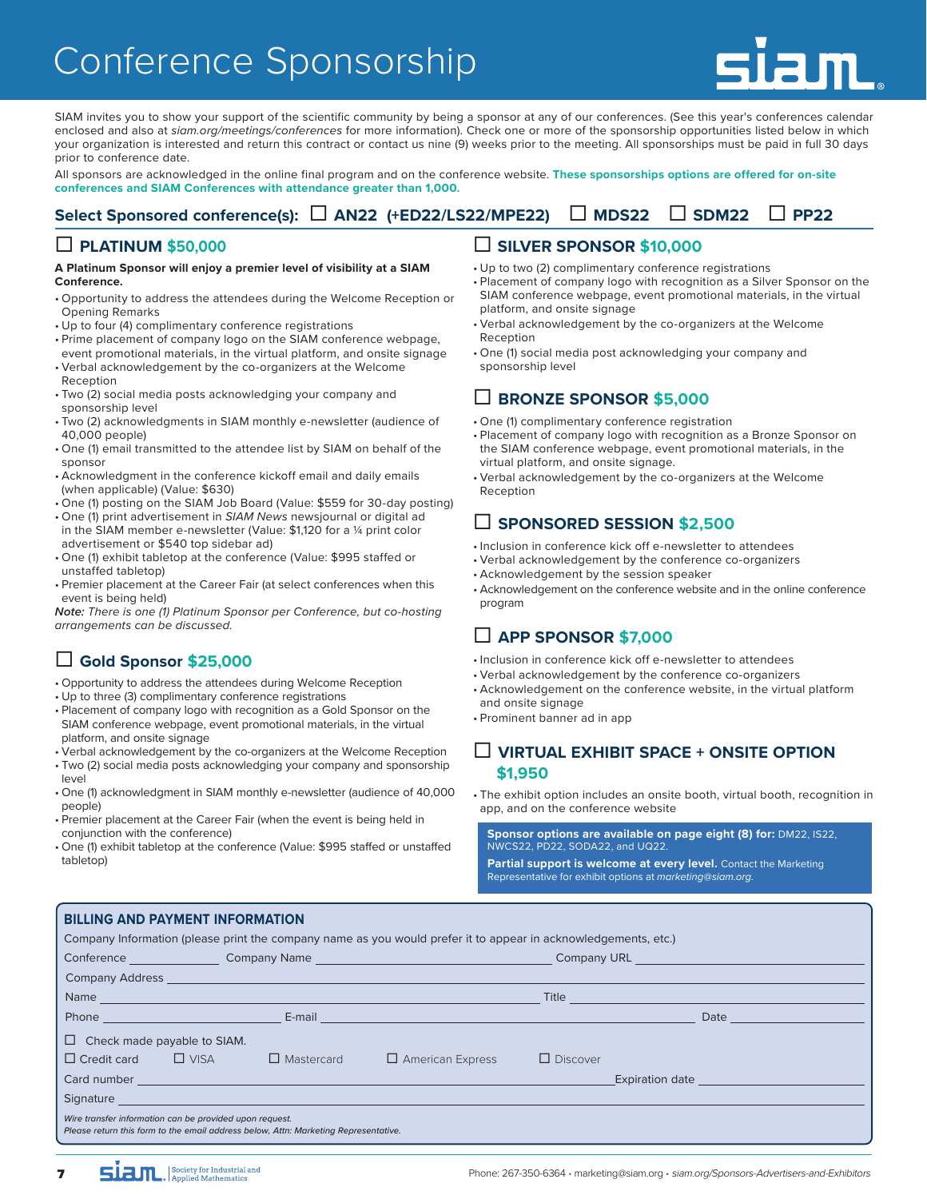# Conference Sponsorship



SIAM invites you to show your support of the scientific community by being a sponsor at any of our conferences. (See this year's conferences calendar enclosed and also at *siam.org/meetings/conferences* for more information). Check one or more of the sponsorship opportunities listed below in which your organization is interested and return this contract or contact us nine (9) weeks prior to the meeting. All sponsorships must be paid in full 30 days prior to conference date.

All sponsors are acknowledged in the online final program and on the conference website. **These sponsorships options are offered for on-site conferences and SIAM Conferences with attendance greater than 1,000.**

## **Select Sponsored conference(s): AN22 (+ED22/LS22/MPE22) MDS22 SDM22 PP22**

### **PLATINUM \$50,000**

#### **A Platinum Sponsor will enjoy a premier level of visibility at a SIAM Conference.**

- Opportunity to address the attendees during the Welcome Reception or Opening Remarks
- Up to four (4) complimentary conference registrations
- Prime placement of company logo on the SIAM conference webpage, event promotional materials, in the virtual platform, and onsite signage
- Verbal acknowledgement by the co-organizers at the Welcome Reception
- Two (2) social media posts acknowledging your company and sponsorship level
- Two (2) acknowledgments in SIAM monthly e-newsletter (audience of 40,000 people)
- One (1) email transmitted to the attendee list by SIAM on behalf of the sponsor
- Acknowledgment in the conference kickoff email and daily emails (when applicable) (Value: \$630)
- One (1) posting on the SIAM Job Board (Value: \$559 for 30-day posting)
- One (1) print advertisement in *SIAM News* newsjournal or digital ad in the SIAM member e-newsletter (Value: \$1,120 for a ¼ print color advertisement or \$540 top sidebar ad)
- One (1) exhibit tabletop at the conference (Value: \$995 staffed or unstaffed tabletop)
- Premier placement at the Career Fair (at select conferences when this event is being held)

*Note: There is one (1) Platinum Sponsor per Conference, but co-hosting arrangements can be discussed.*

## **Gold Sponsor \$25,000**

- Opportunity to address the attendees during Welcome Reception
- Up to three (3) complimentary conference registrations

**BILLING AND PAYMENT INFORMATION**

- Placement of company logo with recognition as a Gold Sponsor on the SIAM conference webpage, event promotional materials, in the virtual platform, and onsite signage
- Verbal acknowledgement by the co-organizers at the Welcome Reception
- Two (2) social media posts acknowledging your company and sponsorship level
- One (1) acknowledgment in SIAM monthly e-newsletter (audience of 40,000 people)
- Premier placement at the Career Fair (when the event is being held in conjunction with the conference)
- One (1) exhibit tabletop at the conference (Value: \$995 staffed or unstaffed tabletop)

### **SILVER SPONSOR \$10,000**

- Up to two (2) complimentary conference registrations
- Placement of company logo with recognition as a Silver Sponsor on the SIAM conference webpage, event promotional materials, in the virtual platform, and onsite signage
- Verbal acknowledgement by the co-organizers at the Welcome **Reception**
- One (1) social media post acknowledging your company and sponsorship level

## **BRONZE SPONSOR \$5,000**

- One (1) complimentary conference registration
- Placement of company logo with recognition as a Bronze Sponsor on the SIAM conference webpage, event promotional materials, in the virtual platform, and onsite signage.
- Verbal acknowledgement by the co-organizers at the Welcome Reception

## **SPONSORED SESSION \$2,500**

- Inclusion in conference kick off e-newsletter to attendees
- Verbal acknowledgement by the conference co-organizers
- Acknowledgement by the session speaker
- Acknowledgement on the conference website and in the online conference program

## **APP SPONSOR \$7,000**

- Inclusion in conference kick off e-newsletter to attendees
- Verbal acknowledgement by the conference co-organizers
- Acknowledgement on the conference website, in the virtual platform and onsite signage
- Prominent banner ad in app

### **VIRTUAL EXHIBIT SPACE + ONSITE OPTION \$1,950**

• The exhibit option includes an onsite booth, virtual booth, recognition in app, and on the conference website

**Sponsor options are available on page eight (8) for:** DM22, IS22, NWCS22, PD22, SODA22, and UQ22.

**[Partial support is welcome at every level.](mailto:marketing@siam.org)** Contact the Marketing Representative for exhibit options at *marketing@siam.org*.

| <b>BILLING AND FAI MENT INFORMATION</b>                                                                                                        |                                                                                                                                                                                                                                  |                         |                 |                                                                                                                                                                                                                                |  |  |  |
|------------------------------------------------------------------------------------------------------------------------------------------------|----------------------------------------------------------------------------------------------------------------------------------------------------------------------------------------------------------------------------------|-------------------------|-----------------|--------------------------------------------------------------------------------------------------------------------------------------------------------------------------------------------------------------------------------|--|--|--|
| Company Information (please print the company name as you would prefer it to appear in acknowledgements, etc.)                                 |                                                                                                                                                                                                                                  |                         |                 |                                                                                                                                                                                                                                |  |  |  |
|                                                                                                                                                |                                                                                                                                                                                                                                  |                         |                 |                                                                                                                                                                                                                                |  |  |  |
|                                                                                                                                                |                                                                                                                                                                                                                                  |                         |                 | Company Address <u>Company Address</u>                                                                                                                                                                                         |  |  |  |
|                                                                                                                                                |                                                                                                                                                                                                                                  |                         |                 |                                                                                                                                                                                                                                |  |  |  |
|                                                                                                                                                | <b>Phone Example 2008 Contract Contract Contract Contract Contract Contract Contract Contract Contract Contract Contract Contract Contract Contract Contract Contract Contract Contract Contract Contract Contract Contract </b> |                         |                 |                                                                                                                                                                                                                                |  |  |  |
| $\Box$ Check made payable to SIAM.                                                                                                             |                                                                                                                                                                                                                                  |                         |                 |                                                                                                                                                                                                                                |  |  |  |
| $\Box$ Credit card $\Box$ VISA $\Box$ Mastercard                                                                                               |                                                                                                                                                                                                                                  | $\Box$ American Express | $\Box$ Discover |                                                                                                                                                                                                                                |  |  |  |
|                                                                                                                                                |                                                                                                                                                                                                                                  |                         |                 | Expiration date and the contract of the contract of the contract of the contract of the contract of the contract of the contract of the contract of the contract of the contract of the contract of the contract of the contra |  |  |  |
|                                                                                                                                                | Signature and the contract of the contract of the contract of the contract of the contract of the contract of                                                                                                                    |                         |                 |                                                                                                                                                                                                                                |  |  |  |
| Wire transfer information can be provided upon request.<br>Please return this form to the email address below, Attn: Marketing Representative. |                                                                                                                                                                                                                                  |                         |                 |                                                                                                                                                                                                                                |  |  |  |